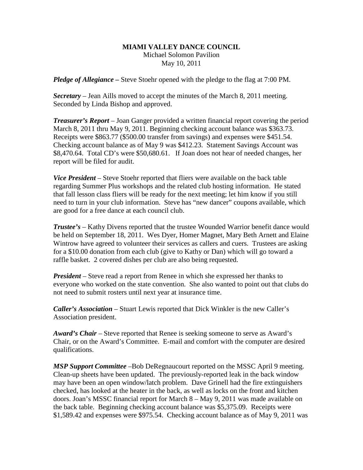## **MIAMI VALLEY DANCE COUNCIL** Michael Solomon Pavilion May 10, 2011

*Pledge of Allegiance –* Steve Stoehr opened with the pledge to the flag at 7:00 PM.

*Secretary –* Jean Aills moved to accept the minutes of the March 8, 2011 meeting. Seconded by Linda Bishop and approved.

*Treasurer's Report* – Joan Ganger provided a written financial report covering the period March 8, 2011 thru May 9, 2011. Beginning checking account balance was \$363.73. Receipts were \$863.77 (\$500.00 transfer from savings) and expenses were \$451.54. Checking account balance as of May 9 was \$412.23. Statement Savings Account was \$8,470.64. Total CD's were \$50,680.61. If Joan does not hear of needed changes, her report will be filed for audit.

*Vice President* – Steve Stoehr reported that fliers were available on the back table regarding Summer Plus workshops and the related club hosting information. He stated that fall lesson class fliers will be ready for the next meeting; let him know if you still need to turn in your club information. Steve has "new dancer" coupons available, which are good for a free dance at each council club.

*Trustee's* – Kathy Divens reported that the trustee Wounded Warrior benefit dance would be held on September 18, 2011. Wes Dyer, Homer Magnet, Mary Beth Arnett and Elaine Wintrow have agreed to volunteer their services as callers and cuers. Trustees are asking for a \$10.00 donation from each club (give to Kathy or Dan) which will go toward a raffle basket. 2 covered dishes per club are also being requested.

*President* – Steve read a report from Renee in which she expressed her thanks to everyone who worked on the state convention. She also wanted to point out that clubs do not need to submit rosters until next year at insurance time.

*Caller's Association* – Stuart Lewis reported that Dick Winkler is the new Caller's Association president.

*Award's Chair* – Steve reported that Renee is seeking someone to serve as Award's Chair, or on the Award's Committee. E-mail and comfort with the computer are desired qualifications.

*MSP Support Committee* –Bob DeRegnaucourt reported on the MSSC April 9 meeting. Clean-up sheets have been updated. The previously-reported leak in the back window may have been an open window/latch problem. Dave Grinell had the fire extinguishers checked, has looked at the heater in the back, as well as locks on the front and kitchen doors. Joan's MSSC financial report for March 8 – May 9, 2011 was made available on the back table. Beginning checking account balance was \$5,375.09. Receipts were \$1,589.42 and expenses were \$975.54. Checking account balance as of May 9, 2011 was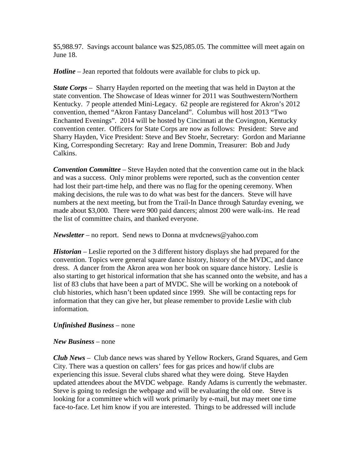\$5,988.97. Savings account balance was \$25,085.05. The committee will meet again on June 18.

*Hotline* – Jean reported that foldouts were available for clubs to pick up.

*State Corps* – Sharry Hayden reported on the meeting that was held in Dayton at the state convention. The Showcase of Ideas winner for 2011 was Southwestern/Northern Kentucky. 7 people attended Mini-Legacy. 62 people are registered for Akron's 2012 convention, themed "Akron Fantasy Danceland". Columbus will host 2013 "Two Enchanted Evenings". 2014 will be hosted by Cincinnati at the Covington, Kentucky convention center. Officers for State Corps are now as follows: President: Steve and Sharry Hayden, Vice President: Steve and Bev Stoehr, Secretary: Gordon and Marianne King, Corresponding Secretary: Ray and Irene Dommin, Treasurer: Bob and Judy Calkins.

*Convention Committee* – Steve Hayden noted that the convention came out in the black and was a success. Only minor problems were reported, such as the convention center had lost their part-time help, and there was no flag for the opening ceremony. When making decisions, the rule was to do what was best for the dancers. Steve will have numbers at the next meeting, but from the Trail-In Dance through Saturday evening, we made about \$3,000. There were 900 paid dancers; almost 200 were walk-ins. He read the list of committee chairs, and thanked everyone.

*Newsletter* – no report. Send news to Donna at mvdcnews@yahoo.com

*Historian –* Leslie reported on the 3 different history displays she had prepared for the convention. Topics were general square dance history, history of the MVDC, and dance dress. A dancer from the Akron area won her book on square dance history. Leslie is also starting to get historical information that she has scanned onto the website, and has a list of 83 clubs that have been a part of MVDC. She will be working on a notebook of club histories, which hasn't been updated since 1999. She will be contacting reps for information that they can give her, but please remember to provide Leslie with club information.

## *Unfinished Business* – none

## *New Business* – none

*Club News –* Club dance news was shared by Yellow Rockers, Grand Squares, and Gem City. There was a question on callers' fees for gas prices and how/if clubs are experiencing this issue. Several clubs shared what they were doing. Steve Hayden updated attendees about the MVDC webpage. Randy Adams is currently the webmaster. Steve is going to redesign the webpage and will be evaluating the old one. Steve is looking for a committee which will work primarily by e-mail, but may meet one time face-to-face. Let him know if you are interested. Things to be addressed will include